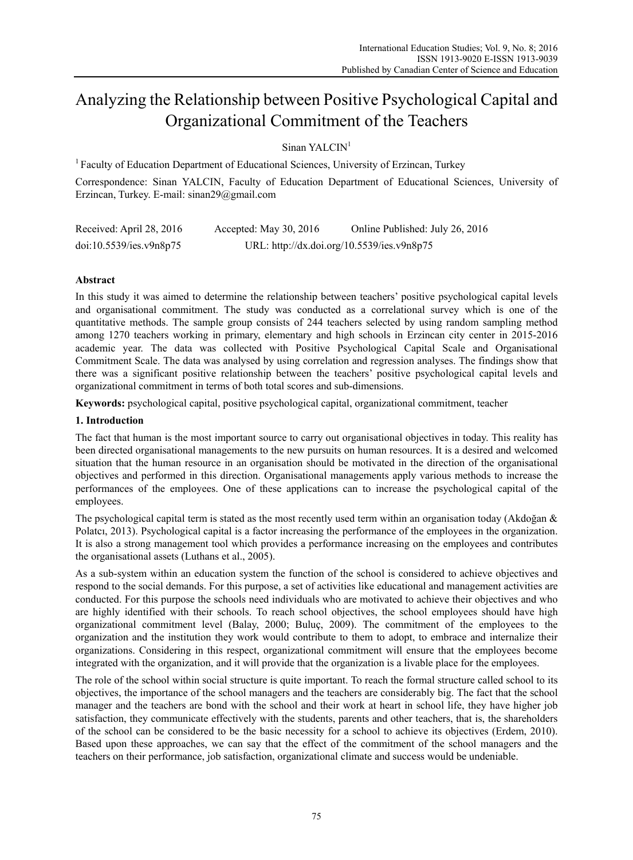# Analyzing the Relationship between Positive Psychological Capital and Organizational Commitment of the Teachers

## Sinan YALCIN<sup>1</sup>

<sup>1</sup> Faculty of Education Department of Educational Sciences, University of Erzincan, Turkey

Correspondence: Sinan YALCIN, Faculty of Education Department of Educational Sciences, University of Erzincan, Turkey. E-mail: sinan29@gmail.com

| Received: April 28, 2016 | Accepted: May 30, 2016 | Online Published: July 26, 2016            |
|--------------------------|------------------------|--------------------------------------------|
| doi:10.5539/ies.v9n8p75  |                        | URL: http://dx.doi.org/10.5539/ies.v9n8p75 |

## **Abstract**

In this study it was aimed to determine the relationship between teachers' positive psychological capital levels and organisational commitment. The study was conducted as a correlational survey which is one of the quantitative methods. The sample group consists of 244 teachers selected by using random sampling method among 1270 teachers working in primary, elementary and high schools in Erzincan city center in 2015-2016 academic year. The data was collected with Positive Psychological Capital Scale and Organisational Commitment Scale. The data was analysed by using correlation and regression analyses. The findings show that there was a significant positive relationship between the teachers' positive psychological capital levels and organizational commitment in terms of both total scores and sub-dimensions.

**Keywords:** psychological capital, positive psychological capital, organizational commitment, teacher

#### **1. Introduction**

The fact that human is the most important source to carry out organisational objectives in today. This reality has been directed organisational managements to the new pursuits on human resources. It is a desired and welcomed situation that the human resource in an organisation should be motivated in the direction of the organisational objectives and performed in this direction. Organisational managements apply various methods to increase the performances of the employees. One of these applications can to increase the psychological capital of the employees.

The psychological capital term is stated as the most recently used term within an organisation today (Akdoğan  $\&$ Polatcı, 2013). Psychological capital is a factor increasing the performance of the employees in the organization. It is also a strong management tool which provides a performance increasing on the employees and contributes the organisational assets (Luthans et al., 2005).

As a sub-system within an education system the function of the school is considered to achieve objectives and respond to the social demands. For this purpose, a set of activities like educational and management activities are conducted. For this purpose the schools need individuals who are motivated to achieve their objectives and who are highly identified with their schools. To reach school objectives, the school employees should have high organizational commitment level (Balay, 2000; Buluç, 2009). The commitment of the employees to the organization and the institution they work would contribute to them to adopt, to embrace and internalize their organizations. Considering in this respect, organizational commitment will ensure that the employees become integrated with the organization, and it will provide that the organization is a livable place for the employees.

The role of the school within social structure is quite important. To reach the formal structure called school to its objectives, the importance of the school managers and the teachers are considerably big. The fact that the school manager and the teachers are bond with the school and their work at heart in school life, they have higher job satisfaction, they communicate effectively with the students, parents and other teachers, that is, the shareholders of the school can be considered to be the basic necessity for a school to achieve its objectives (Erdem, 2010). Based upon these approaches, we can say that the effect of the commitment of the school managers and the teachers on their performance, job satisfaction, organizational climate and success would be undeniable.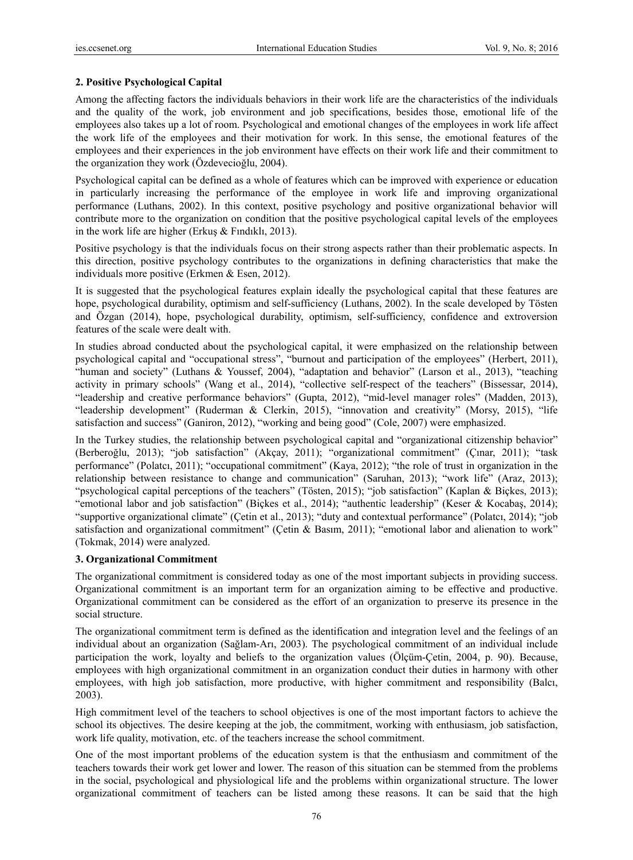## **2. Positive Psychological Capital**

Among the affecting factors the individuals behaviors in their work life are the characteristics of the individuals and the quality of the work, job environment and job specifications, besides those, emotional life of the employees also takes up a lot of room. Psychological and emotional changes of the employees in work life affect the work life of the employees and their motivation for work. In this sense, the emotional features of the employees and their experiences in the job environment have effects on their work life and their commitment to the organization they work (Özdevecioğlu, 2004).

Psychological capital can be defined as a whole of features which can be improved with experience or education in particularly increasing the performance of the employee in work life and improving organizational performance (Luthans, 2002). In this context, positive psychology and positive organizational behavior will contribute more to the organization on condition that the positive psychological capital levels of the employees in the work life are higher (Erkuş & Fındıklı, 2013).

Positive psychology is that the individuals focus on their strong aspects rather than their problematic aspects. In this direction, positive psychology contributes to the organizations in defining characteristics that make the individuals more positive (Erkmen & Esen, 2012).

It is suggested that the psychological features explain ideally the psychological capital that these features are hope, psychological durability, optimism and self-sufficiency (Luthans, 2002). In the scale developed by Tösten and Özgan (2014), hope, psychological durability, optimism, self-sufficiency, confidence and extroversion features of the scale were dealt with.

In studies abroad conducted about the psychological capital, it were emphasized on the relationship between psychological capital and "occupational stress", "burnout and participation of the employees" (Herbert, 2011), "human and society" (Luthans & Youssef, 2004), "adaptation and behavior" (Larson et al., 2013), "teaching activity in primary schools" (Wang et al., 2014), "collective self-respect of the teachers" (Bissessar, 2014), "leadership and creative performance behaviors" (Gupta, 2012), "mid-level manager roles" (Madden, 2013), "leadership development" (Ruderman & Clerkin, 2015), "innovation and creativity" (Morsy, 2015), "life satisfaction and success" (Ganiron, 2012), "working and being good" (Cole, 2007) were emphasized.

In the Turkey studies, the relationship between psychological capital and "organizational citizenship behavior" (Berberoğlu, 2013); "job satisfaction" (Akçay, 2011); "organizational commitment" (Çınar, 2011); "task performance" (Polatcı, 2011); "occupational commitment" (Kaya, 2012); "the role of trust in organization in the relationship between resistance to change and communication" (Saruhan, 2013); "work life" (Araz, 2013); "psychological capital perceptions of the teachers" (Tösten, 2015); "job satisfaction" (Kaplan & Biçkes, 2013); "emotional labor and job satisfaction" (Biçkes et al., 2014); "authentic leadership" (Keser & Kocabaş, 2014); "supportive organizational climate" (Çetin et al., 2013); "duty and contextual performance" (Polatcı, 2014); "job satisfaction and organizational commitment" (Çetin & Basım, 2011); "emotional labor and alienation to work" (Tokmak, 2014) were analyzed.

#### **3. Organizational Commitment**

The organizational commitment is considered today as one of the most important subjects in providing success. Organizational commitment is an important term for an organization aiming to be effective and productive. Organizational commitment can be considered as the effort of an organization to preserve its presence in the social structure.

The organizational commitment term is defined as the identification and integration level and the feelings of an individual about an organization (Sağlam-Arı, 2003). The psychological commitment of an individual include participation the work, loyalty and beliefs to the organization values (Ölçüm-Çetin, 2004, p. 90). Because, employees with high organizational commitment in an organization conduct their duties in harmony with other employees, with high job satisfaction, more productive, with higher commitment and responsibility (Balcı, 2003).

High commitment level of the teachers to school objectives is one of the most important factors to achieve the school its objectives. The desire keeping at the job, the commitment, working with enthusiasm, job satisfaction, work life quality, motivation, etc. of the teachers increase the school commitment.

One of the most important problems of the education system is that the enthusiasm and commitment of the teachers towards their work get lower and lower. The reason of this situation can be stemmed from the problems in the social, psychological and physiological life and the problems within organizational structure. The lower organizational commitment of teachers can be listed among these reasons. It can be said that the high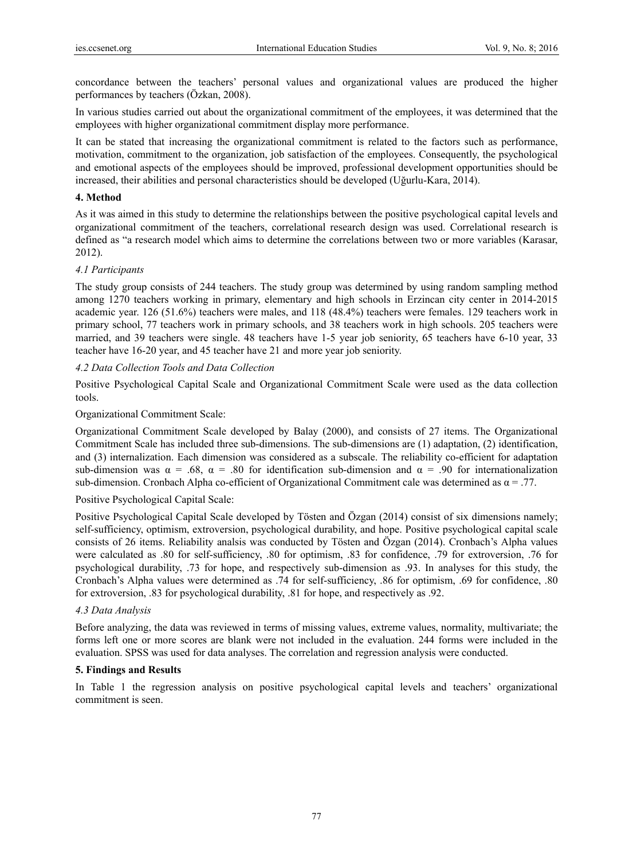concordance between the teachers' personal values and organizational values are produced the higher performances by teachers (Özkan, 2008).

In various studies carried out about the organizational commitment of the employees, it was determined that the employees with higher organizational commitment display more performance.

It can be stated that increasing the organizational commitment is related to the factors such as performance, motivation, commitment to the organization, job satisfaction of the employees. Consequently, the psychological and emotional aspects of the employees should be improved, professional development opportunities should be increased, their abilities and personal characteristics should be developed (Uğurlu-Kara, 2014).

#### **4. Method**

As it was aimed in this study to determine the relationships between the positive psychological capital levels and organizational commitment of the teachers, correlational research design was used. Correlational research is defined as "a research model which aims to determine the correlations between two or more variables (Karasar, 2012).

#### *4.1 Participants*

The study group consists of 244 teachers. The study group was determined by using random sampling method among 1270 teachers working in primary, elementary and high schools in Erzincan city center in 2014-2015 academic year. 126 (51.6%) teachers were males, and 118 (48.4%) teachers were females. 129 teachers work in primary school, 77 teachers work in primary schools, and 38 teachers work in high schools. 205 teachers were married, and 39 teachers were single. 48 teachers have 1-5 year job seniority, 65 teachers have 6-10 year, 33 teacher have 16-20 year, and 45 teacher have 21 and more year job seniority.

### *4.2 Data Collection Tools and Data Collection*

Positive Psychological Capital Scale and Organizational Commitment Scale were used as the data collection tools.

### Organizational Commitment Scale:

Organizational Commitment Scale developed by Balay (2000), and consists of 27 items. The Organizational Commitment Scale has included three sub-dimensions. The sub-dimensions are (1) adaptation, (2) identification, and (3) internalization. Each dimension was considered as a subscale. The reliability co-efficient for adaptation sub-dimension was  $\alpha = .68$ ,  $\alpha = .80$  for identification sub-dimension and  $\alpha = .90$  for internationalization sub-dimension. Cronbach Alpha co-efficient of Organizational Commitment cale was determined as  $\alpha = .77$ .

### Positive Psychological Capital Scale:

Positive Psychological Capital Scale developed by Tösten and Özgan (2014) consist of six dimensions namely; self-sufficiency, optimism, extroversion, psychological durability, and hope. Positive psychological capital scale consists of 26 items. Reliability analsis was conducted by Tösten and Özgan (2014). Cronbach's Alpha values were calculated as .80 for self-sufficiency, .80 for optimism, .83 for confidence, .79 for extroversion, .76 for psychological durability, .73 for hope, and respectively sub-dimension as .93. In analyses for this study, the Cronbach's Alpha values were determined as .74 for self-sufficiency, .86 for optimism, .69 for confidence, .80 for extroversion, .83 for psychological durability, .81 for hope, and respectively as .92.

#### *4.3 Data Analysis*

Before analyzing, the data was reviewed in terms of missing values, extreme values, normality, multivariate; the forms left one or more scores are blank were not included in the evaluation. 244 forms were included in the evaluation. SPSS was used for data analyses. The correlation and regression analysis were conducted.

#### **5. Findings and Results**

In Table 1 the regression analysis on positive psychological capital levels and teachers' organizational commitment is seen.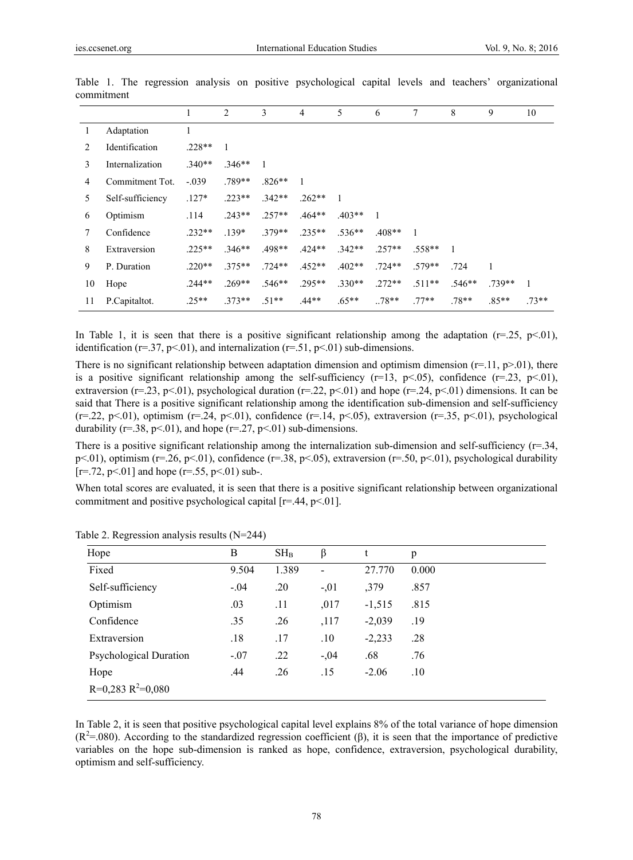|    |                  | 1        | 2            | 3        | $\overline{4}$ | 5        | 6            | 7              | 8        | 9       | 10     |
|----|------------------|----------|--------------|----------|----------------|----------|--------------|----------------|----------|---------|--------|
| -1 | Adaptation       |          |              |          |                |          |              |                |          |         |        |
| 2  | Identification   | $.228**$ | $\mathbf{1}$ |          |                |          |              |                |          |         |        |
| 3  | Internalization  | $.340**$ | $.346**$     |          |                |          |              |                |          |         |        |
| 4  | Commitment Tot.  | $-.039$  | .789**       | $.826**$ | 1              |          |              |                |          |         |        |
| 5  | Self-sufficiency | $.127*$  | $.223**$     | $.342**$ | $.262**$       | 1        |              |                |          |         |        |
| 6  | Optimism         | .114     | $.243**$     | $.257**$ | $.464**$       | $.403**$ | $\mathbf{1}$ |                |          |         |        |
| 7  | Confidence       | $.232**$ | $.139*$      | $.379**$ | $.235**$       | $.536**$ | $.408**$     | $\overline{1}$ |          |         |        |
| 8  | Extraversion     | $.225**$ | $.346**$     | .498**   | $.424**$       | $.342**$ | $.257**$     | $.558**$       |          |         |        |
| 9  | P. Duration      | $.220**$ | $.375**$     | $.724**$ | $.452**$       | $.402**$ | $.724**$     | $.579**$       | .724     | 1       |        |
| 10 | Hope             | $.244**$ | $.269**$     | $.546**$ | $.295**$       | $.330**$ | $.272**$     | $.511**$       | $.546**$ | 739**   |        |
| 11 | P.Capitaltot.    | $.25**$  | $.373**$     | $.51**$  | $.44**$        | $.65**$  | $.78**$      | $.77**$        | $.78**$  | $.85**$ | $73**$ |

Table 1. The regression analysis on positive psychological capital levels and teachers' organizational commitment

In Table 1, it is seen that there is a positive significant relationship among the adaptation  $(r=25, p<01)$ , identification ( $r=37$ ,  $p<01$ ), and internalization ( $r=51$ ,  $p<01$ ) sub-dimensions.

There is no significant relationship between adaptation dimension and optimism dimension ( $r=11$ ,  $p>01$ ), there is a positive significant relationship among the self-sufficiency ( $r=13$ ,  $p<.05$ ), confidence ( $r=.23$ ,  $p<.01$ ), extraversion (r=.23, p<.01), psychological duration (r=.22, p<.01) and hope (r=.24, p<.01) dimensions. It can be said that There is a positive significant relationship among the identification sub-dimension and self-sufficiency (r=.22, p<.01), optimism (r=.24, p<.01), confidence (r=.14, p<.05), extraversion (r=.35, p<.01), psychological durability ( $r=38$ ,  $p<.01$ ), and hope ( $r=27$ ,  $p<.01$ ) sub-dimensions.

There is a positive significant relationship among the internalization sub-dimension and self-sufficiency (r=.34, p<.01), optimism (r=.26, p<.01), confidence (r=.38, p<.05), extraversion (r=.50, p<.01), psychological durability  $[r=.72, p<.01]$  and hope (r=.55, p<.01) sub-.

When total scores are evaluated, it is seen that there is a positive significant relationship between organizational commitment and positive psychological capital [r=.44, p<.01].

| Hope                          | B      | $SH_B$ | β                        | t        | p     |
|-------------------------------|--------|--------|--------------------------|----------|-------|
| Fixed                         | 9.504  | 1.389  | $\overline{\phantom{a}}$ | 27.770   | 0.000 |
| Self-sufficiency              | $-.04$ | .20    | $-0.01$                  | ,379     | .857  |
| Optimism                      | .03    | .11    | ,017                     | $-1,515$ | .815  |
| Confidence                    | .35    | .26    | ,117                     | $-2,039$ | .19   |
| Extraversion                  | .18    | .17    | .10                      | $-2,233$ | .28   |
| <b>Psychological Duration</b> | $-.07$ | .22    | $-.04$                   | .68      | .76   |
| Hope                          | .44    | .26    | .15                      | $-2.06$  | .10   |
| $R=0.283 R^2=0.080$           |        |        |                          |          |       |

Table 2. Regression analysis results (N=244)

In Table 2, it is seen that positive psychological capital level explains 8% of the total variance of hope dimension  $(R^2 = .080)$ . According to the standardized regression coefficient (β), it is seen that the importance of predictive variables on the hope sub-dimension is ranked as hope, confidence, extraversion, psychological durability, optimism and self-sufficiency.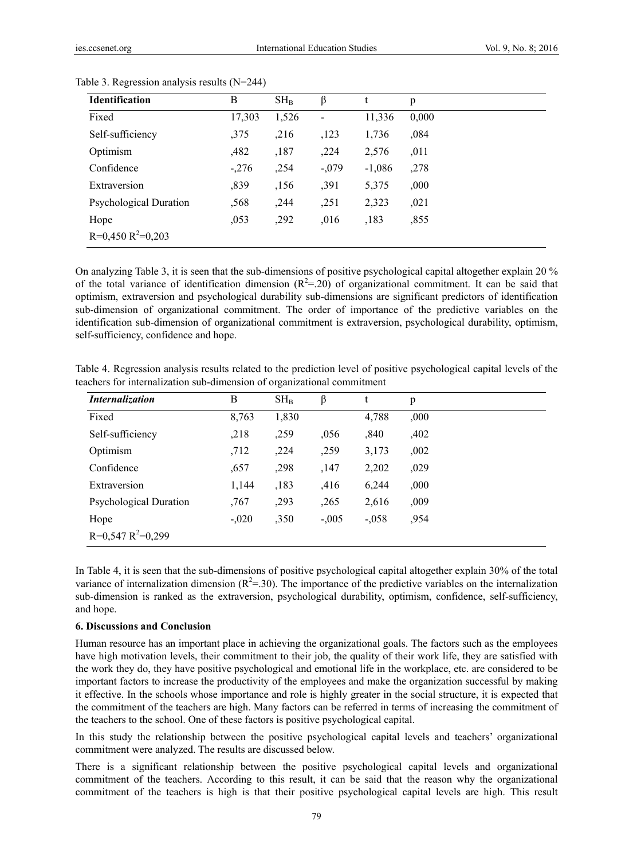| <b>Identification</b>         | B      | $SH_B$ | β                        |          | p     |
|-------------------------------|--------|--------|--------------------------|----------|-------|
| Fixed                         | 17,303 | 1,526  | $\overline{\phantom{0}}$ | 11,336   | 0,000 |
| Self-sufficiency              | ,375   | ,216   | ,123                     | 1,736    | ,084  |
| Optimism                      | ,482   | ,187   | ,224                     | 2,576    | ,011  |
| Confidence                    | $-276$ | ,254   | $-.079$                  | $-1,086$ | ,278  |
| Extraversion                  | ,839   | ,156   | ,391                     | 5,375    | ,000, |
| <b>Psychological Duration</b> | ,568   | ,244   | ,251                     | 2,323    | ,021  |
| Hope                          | ,053   | ,292   | ,016                     | ,183     | ,855  |
| $R=0,450 R^2=0,203$           |        |        |                          |          |       |

#### Table 3. Regression analysis results (N=244)

On analyzing Table 3, it is seen that the sub-dimensions of positive psychological capital altogether explain 20 % of the total variance of identification dimension  $(R^2 = .20)$  of organizational commitment. It can be said that optimism, extraversion and psychological durability sub-dimensions are significant predictors of identification sub-dimension of organizational commitment. The order of importance of the predictive variables on the identification sub-dimension of organizational commitment is extraversion, psychological durability, optimism, self-sufficiency, confidence and hope.

Table 4. Regression analysis results related to the prediction level of positive psychological capital levels of the teachers for internalization sub-dimension of organizational commitment

| Internalization        | B       | $SH_B$ | β       | t        | p    |
|------------------------|---------|--------|---------|----------|------|
| Fixed                  | 8,763   | 1,830  |         | 4,788    | ,000 |
| Self-sufficiency       | ,218    | ,259   | .056    | ,840     | ,402 |
| Optimism               | ,712    | ,224   | ,259    | 3,173    | ,002 |
| Confidence             | ,657    | ,298   | ,147    | 2,202    | ,029 |
| Extraversion           | 1,144   | ,183   | ,416    | 6,244    | ,000 |
| Psychological Duration | ,767    | ,293   | ,265    | 2,616    | ,009 |
| Hope                   | $-.020$ | ,350   | $-.005$ | $-0.058$ | ,954 |
| $R=0,547 R^2=0,299$    |         |        |         |          |      |

In Table 4, it is seen that the sub-dimensions of positive psychological capital altogether explain 30% of the total variance of internalization dimension  $(R^2 = 30)$ . The importance of the predictive variables on the internalization sub-dimension is ranked as the extraversion, psychological durability, optimism, confidence, self-sufficiency, and hope.

#### **6. Discussions and Conclusion**

Human resource has an important place in achieving the organizational goals. The factors such as the employees have high motivation levels, their commitment to their job, the quality of their work life, they are satisfied with the work they do, they have positive psychological and emotional life in the workplace, etc. are considered to be important factors to increase the productivity of the employees and make the organization successful by making it effective. In the schools whose importance and role is highly greater in the social structure, it is expected that the commitment of the teachers are high. Many factors can be referred in terms of increasing the commitment of the teachers to the school. One of these factors is positive psychological capital.

In this study the relationship between the positive psychological capital levels and teachers' organizational commitment were analyzed. The results are discussed below.

There is a significant relationship between the positive psychological capital levels and organizational commitment of the teachers. According to this result, it can be said that the reason why the organizational commitment of the teachers is high is that their positive psychological capital levels are high. This result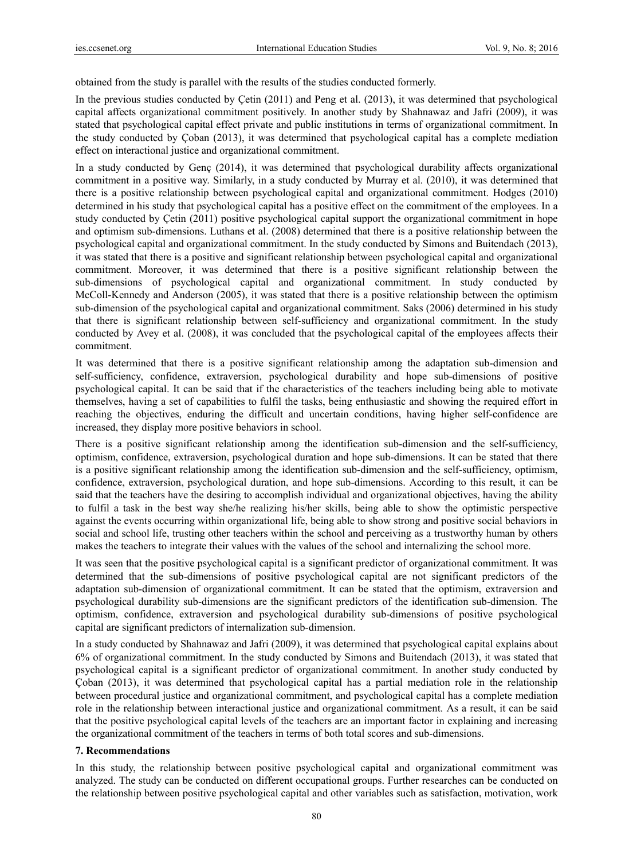obtained from the study is parallel with the results of the studies conducted formerly.

In the previous studies conducted by Çetin (2011) and Peng et al. (2013), it was determined that psychological capital affects organizational commitment positively. In another study by Shahnawaz and Jafri (2009), it was stated that psychological capital effect private and public institutions in terms of organizational commitment. In the study conducted by Çoban (2013), it was determined that psychological capital has a complete mediation effect on interactional justice and organizational commitment.

In a study conducted by Genç (2014), it was determined that psychological durability affects organizational commitment in a positive way. Similarly, in a study conducted by Murray et al. (2010), it was determined that there is a positive relationship between psychological capital and organizational commitment. Hodges (2010) determined in his study that psychological capital has a positive effect on the commitment of the employees. In a study conducted by Çetin (2011) positive psychological capital support the organizational commitment in hope and optimism sub-dimensions. Luthans et al. (2008) determined that there is a positive relationship between the psychological capital and organizational commitment. In the study conducted by Simons and Buitendach (2013), it was stated that there is a positive and significant relationship between psychological capital and organizational commitment. Moreover, it was determined that there is a positive significant relationship between the sub-dimensions of psychological capital and organizational commitment. In study conducted by McColl-Kennedy and Anderson (2005), it was stated that there is a positive relationship between the optimism sub-dimension of the psychological capital and organizational commitment. Saks (2006) determined in his study that there is significant relationship between self-sufficiency and organizational commitment. In the study conducted by Avey et al. (2008), it was concluded that the psychological capital of the employees affects their commitment.

It was determined that there is a positive significant relationship among the adaptation sub-dimension and self-sufficiency, confidence, extraversion, psychological durability and hope sub-dimensions of positive psychological capital. It can be said that if the characteristics of the teachers including being able to motivate themselves, having a set of capabilities to fulfil the tasks, being enthusiastic and showing the required effort in reaching the objectives, enduring the difficult and uncertain conditions, having higher self-confidence are increased, they display more positive behaviors in school.

There is a positive significant relationship among the identification sub-dimension and the self-sufficiency, optimism, confidence, extraversion, psychological duration and hope sub-dimensions. It can be stated that there is a positive significant relationship among the identification sub-dimension and the self-sufficiency, optimism, confidence, extraversion, psychological duration, and hope sub-dimensions. According to this result, it can be said that the teachers have the desiring to accomplish individual and organizational objectives, having the ability to fulfil a task in the best way she/he realizing his/her skills, being able to show the optimistic perspective against the events occurring within organizational life, being able to show strong and positive social behaviors in social and school life, trusting other teachers within the school and perceiving as a trustworthy human by others makes the teachers to integrate their values with the values of the school and internalizing the school more.

It was seen that the positive psychological capital is a significant predictor of organizational commitment. It was determined that the sub-dimensions of positive psychological capital are not significant predictors of the adaptation sub-dimension of organizational commitment. It can be stated that the optimism, extraversion and psychological durability sub-dimensions are the significant predictors of the identification sub-dimension. The optimism, confidence, extraversion and psychological durability sub-dimensions of positive psychological capital are significant predictors of internalization sub-dimension.

In a study conducted by Shahnawaz and Jafri (2009), it was determined that psychological capital explains about 6% of organizational commitment. In the study conducted by Simons and Buitendach (2013), it was stated that psychological capital is a significant predictor of organizational commitment. In another study conducted by Çoban (2013), it was determined that psychological capital has a partial mediation role in the relationship between procedural justice and organizational commitment, and psychological capital has a complete mediation role in the relationship between interactional justice and organizational commitment. As a result, it can be said that the positive psychological capital levels of the teachers are an important factor in explaining and increasing the organizational commitment of the teachers in terms of both total scores and sub-dimensions.

#### **7. Recommendations**

In this study, the relationship between positive psychological capital and organizational commitment was analyzed. The study can be conducted on different occupational groups. Further researches can be conducted on the relationship between positive psychological capital and other variables such as satisfaction, motivation, work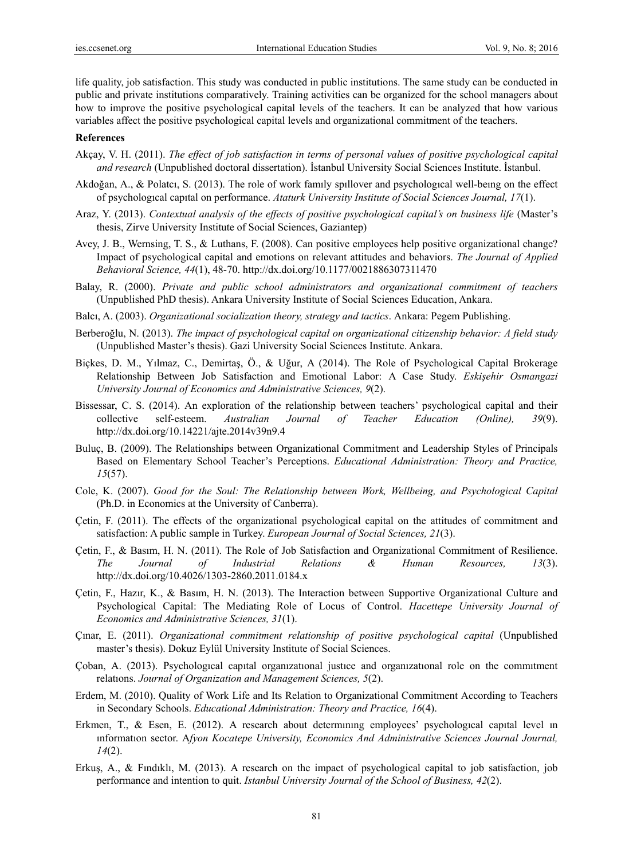life quality, job satisfaction. This study was conducted in public institutions. The same study can be conducted in public and private institutions comparatively. Training activities can be organized for the school managers about how to improve the positive psychological capital levels of the teachers. It can be analyzed that how various variables affect the positive psychological capital levels and organizational commitment of the teachers.

#### **References**

- Akçay, V. H. (2011). *The effect of job satisfaction in terms of personal values of positive psychological capital and research* (Unpublished doctoral dissertation). İstanbul University Social Sciences Institute. İstanbul.
- Akdoğan, A., & Polatcı, S. (2013). The role of work famıly spıllover and psychologıcal well-beıng on the effect of psychologıcal capıtal on performance. *Ataturk University Institute of Social Sciences Journal, 17*(1).
- Araz, Y. (2013). *Contextual analysis of the effects of positive psychological capital's on business life* (Master's thesis, Zirve University Institute of Social Sciences, Gaziantep)
- Avey, J. B., Wernsing, T. S., & Luthans, F. (2008). Can positive employees help positive organizational change? Impact of psychological capital and emotions on relevant attitudes and behaviors. *The Journal of Applied Behavioral Science, 44*(1), 48-70. http://dx.doi.org/10.1177/0021886307311470
- Balay, R. (2000). *Private and public school administrators and organizational commitment of teachers* (Unpublished PhD thesis). Ankara University Institute of Social Sciences Education, Ankara.
- Balcı, A. (2003). *Organizational socialization theory, strategy and tactics*. Ankara: Pegem Publishing.
- Berberoğlu, N. (2013). *The impact of psychological capital on organizational citizenship behavior: A field study* (Unpublished Master's thesis). Gazi University Social Sciences Institute. Ankara.
- Biçkes, D. M., Yılmaz, C., Demirtaş, Ö., & Uğur, A (2014). The Role of Psychological Capital Brokerage Relationship Between Job Satisfaction and Emotional Labor: A Case Study. *Eskişehir Osmangazi University Journal of Economics and Administrative Sciences, 9*(2).
- Bissessar, C. S. (2014). An exploration of the relationship between teachers' psychological capital and their collective self-esteem. *Australian Journal of Teacher Education (Online), 39*(9). http://dx.doi.org/10.14221/ajte.2014v39n9.4
- Buluç, B. (2009). The Relationships between Organizational Commitment and Leadership Styles of Principals Based on Elementary School Teacher's Perceptions. *Educational Administration: Theory and Practice, 15*(57).
- Cole, K. (2007). *Good for the Soul: The Relationship between Work, Wellbeing, and Psychological Capital* (Ph.D. in Economics at the University of Canberra).
- Çetin, F. (2011). The effects of the organizational psychological capital on the attitudes of commitment and satisfaction: A public sample in Turkey. *European Journal of Social Sciences, 21*(3).
- Çetin, F., & Basım, H. N. (2011). The Role of Job Satisfaction and Organizational Commitment of Resilience. *The Journal of Industrial Relations & Human Resources, 13*(3). http://dx.doi.org/10.4026/1303-2860.2011.0184.x
- Çetin, F., Hazır, K., & Basım, H. N. (2013). The Interaction between Supportive Organizational Culture and Psychological Capital: The Mediating Role of Locus of Control. *Hacettepe University Journal of Economics and Administrative Sciences, 31*(1).
- Çınar, E. (2011). *Organizational commitment relationship of positive psychological capital* (Unpublished master's thesis). Dokuz Eylül University Institute of Social Sciences.
- Çoban, A. (2013). Psychologıcal capıtal organızatıonal justıce and organızatıonal role on the commıtment relatıons. *Journal of Organization and Management Sciences, 5*(2).
- Erdem, M. (2010). Quality of Work Life and Its Relation to Organizational Commitment According to Teachers in Secondary Schools. *Educational Administration: Theory and Practice, 16*(4).
- Erkmen, T., & Esen, E. (2012). A research about determınıng employees' psychologıcal capıtal level ın ınformatıon sector. A*fyon Kocatepe University, Economics And Administrative Sciences Journal Journal, 14*(2).
- Erkuş, A., & Fındıklı, M. (2013). A research on the impact of psychological capital to job satisfaction, job performance and intention to quit. *Istanbul University Journal of the School of Business, 42*(2).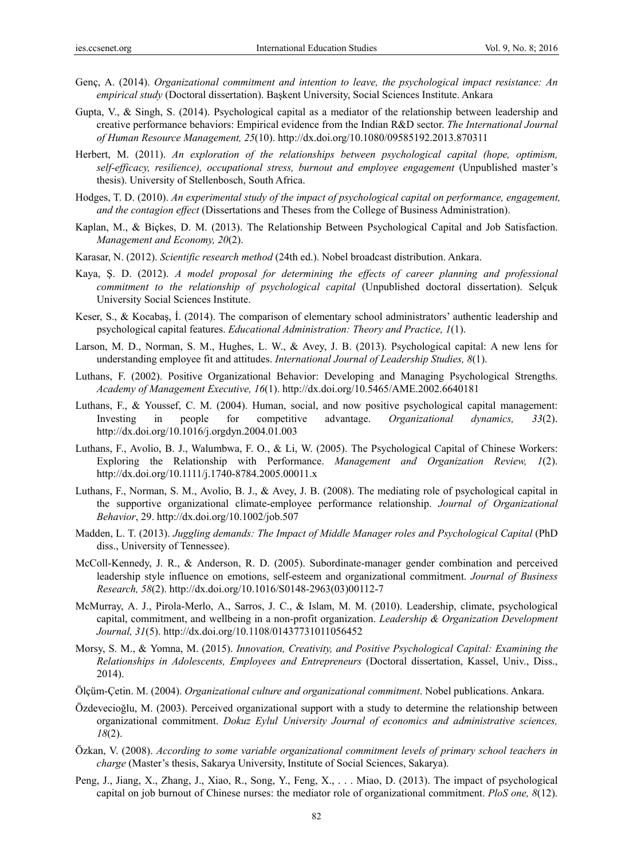- Genç, A. (2014). *Organizational commitment and intention to leave, the psychological impact resistance: An empirical study* (Doctoral dissertation). Başkent University, Social Sciences Institute. Ankara
- Gupta, V., & Singh, S. (2014). Psychological capital as a mediator of the relationship between leadership and creative performance behaviors: Empirical evidence from the Indian R&D sector. *The International Journal of Human Resource Management, 25*(10). http://dx.doi.org/10.1080/09585192.2013.870311
- Herbert, M. (2011). *An exploration of the relationships between psychological capital (hope, optimism, self-efficacy, resilience), occupational stress, burnout and employee engagement* (Unpublished master's thesis). University of Stellenbosch, South Africa.
- Hodges, T. D. (2010). *An experimental study of the impact of psychological capital on performance, engagement, and the contagion effect* (Dissertations and Theses from the College of Business Administration).
- Kaplan, M., & Biçkes, D. M. (2013). The Relationship Between Psychological Capital and Job Satisfaction. *Management and Economy, 20*(2).
- Karasar, N. (2012). *Scientific research method* (24th ed.). Nobel broadcast distribution. Ankara.
- Kaya, Ş. D. (2012). *A model proposal for determining the effects of career planning and professional commitment to the relationship of psychological capital* (Unpublished doctoral dissertation). Selçuk University Social Sciences Institute.
- Keser, S., & Kocabaş, İ. (2014). The comparison of elementary school administrators' authentic leadership and psychological capital features. *Educational Administration: Theory and Practice, 1*(1).
- Larson, M. D., Norman, S. M., Hughes, L. W., & Avey, J. B. (2013). Psychological capital: A new lens for understanding employee fit and attitudes. *International Journal of Leadership Studies, 8*(1).
- Luthans, F. (2002). Positive Organizational Behavior: Developing and Managing Psychological Strengths. *Academy of Management Executive, 16*(1). http://dx.doi.org/10.5465/AME.2002.6640181
- Luthans, F., & Youssef, C. M. (2004). Human, social, and now positive psychological capital management: Investing in people for competitive advantage. *Organizational dynamics, 33*(2). http://dx.doi.org/10.1016/j.orgdyn.2004.01.003
- Luthans, F., Avolio, B. J., Walumbwa, F. O., & Li, W. (2005). The Psychological Capital of Chinese Workers: Exploring the Relationship with Performance. *Management and Organization Review, 1*(2). http://dx.doi.org/10.1111/j.1740-8784.2005.00011.x
- Luthans, F., Norman, S. M., Avolio, B. J., & Avey, J. B. (2008). The mediating role of psychological capital in the supportive organizational climate-employee performance relationship. *Journal of Organizational Behavior*, 29. http://dx.doi.org/10.1002/job.507
- Madden, L. T. (2013). *Juggling demands: The Impact of Middle Manager roles and Psychological Capital* (PhD diss., University of Tennessee).
- McColl-Kennedy, J. R., & Anderson, R. D. (2005). Subordinate-manager gender combination and perceived leadership style influence on emotions, self-esteem and organizational commitment. *Journal of Business Research, 58*(2). http://dx.doi.org/10.1016/S0148-2963(03)00112-7
- McMurray, A. J., Pirola-Merlo, A., Sarros, J. C., & Islam, M. M. (2010). Leadership, climate, psychological capital, commitment, and wellbeing in a non-profit organization. *Leadership & Organization Development Journal, 31*(5). http://dx.doi.org/10.1108/01437731011056452
- Morsy, S. M., & Yomna, M. (2015). *Innovation, Creativity, and Positive Psychological Capital: Examining the Relationships in Adolescents, Employees and Entrepreneurs* (Doctoral dissertation, Kassel, Univ., Diss., 2014).
- Ölçüm-Çetin. M. (2004). *Organizational culture and organizational commitment*. Nobel publications. Ankara.
- Özdevecioğlu, M. (2003). Perceived organizational support with a study to determine the relationship between organizational commitment. *Dokuz Eylul University Journal of economics and administrative sciences, 18*(2).
- Özkan, V. (2008). *According to some variable organizational commitment levels of primary school teachers in charge* (Master's thesis, Sakarya University, Institute of Social Sciences, Sakarya).
- Peng, J., Jiang, X., Zhang, J., Xiao, R., Song, Y., Feng, X., . . . Miao, D. (2013). The impact of psychological capital on job burnout of Chinese nurses: the mediator role of organizational commitment. *PloS one, 8*(12).